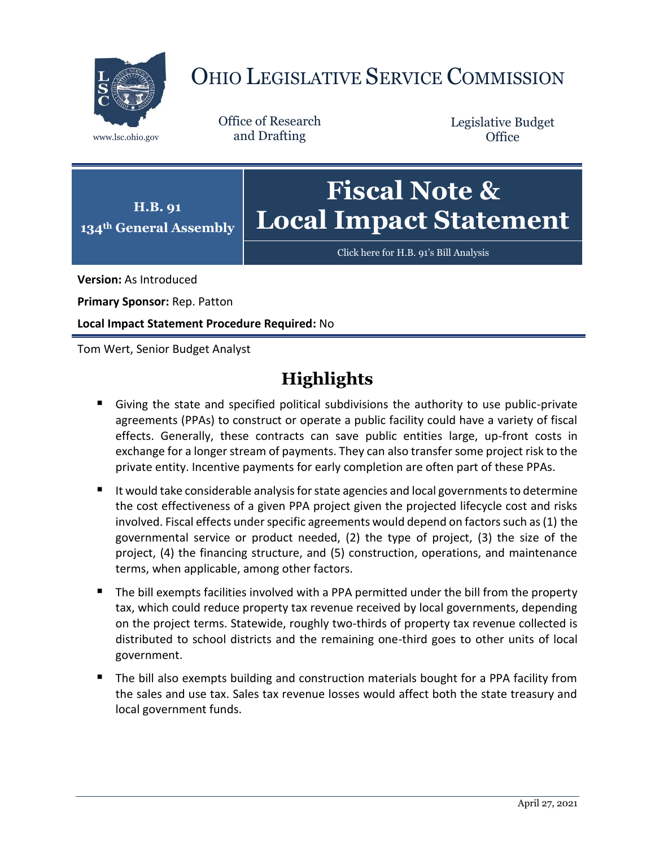

# OHIO LEGISLATIVE SERVICE COMMISSION

Office of Research www.lsc.ohio.gov and Drafting

Legislative Budget **Office** 



[Click here for H.B. 91](https://www.legislature.ohio.gov/legislation/legislation-documents?id=GA134-HB-91)'s Bill Analysis

**Version:** As Introduced

**Primary Sponsor:** Rep. Patton

**Local Impact Statement Procedure Required:** No

Tom Wert, Senior Budget Analyst

### **Highlights**

- Giving the state and specified political subdivisions the authority to use public-private agreements (PPAs) to construct or operate a public facility could have a variety of fiscal effects. Generally, these contracts can save public entities large, up-front costs in exchange for a longer stream of payments. They can also transfer some project risk to the private entity. Incentive payments for early completion are often part of these PPAs.
- It would take considerable analysis for state agencies and local governments to determine the cost effectiveness of a given PPA project given the projected lifecycle cost and risks involved. Fiscal effects under specific agreements would depend on factors such as (1) the governmental service or product needed, (2) the type of project, (3) the size of the project, (4) the financing structure, and (5) construction, operations, and maintenance terms, when applicable, among other factors.
- The bill exempts facilities involved with a PPA permitted under the bill from the property tax, which could reduce property tax revenue received by local governments, depending on the project terms. Statewide, roughly two-thirds of property tax revenue collected is distributed to school districts and the remaining one-third goes to other units of local government.
- The bill also exempts building and construction materials bought for a PPA facility from the sales and use tax. Sales tax revenue losses would affect both the state treasury and local government funds.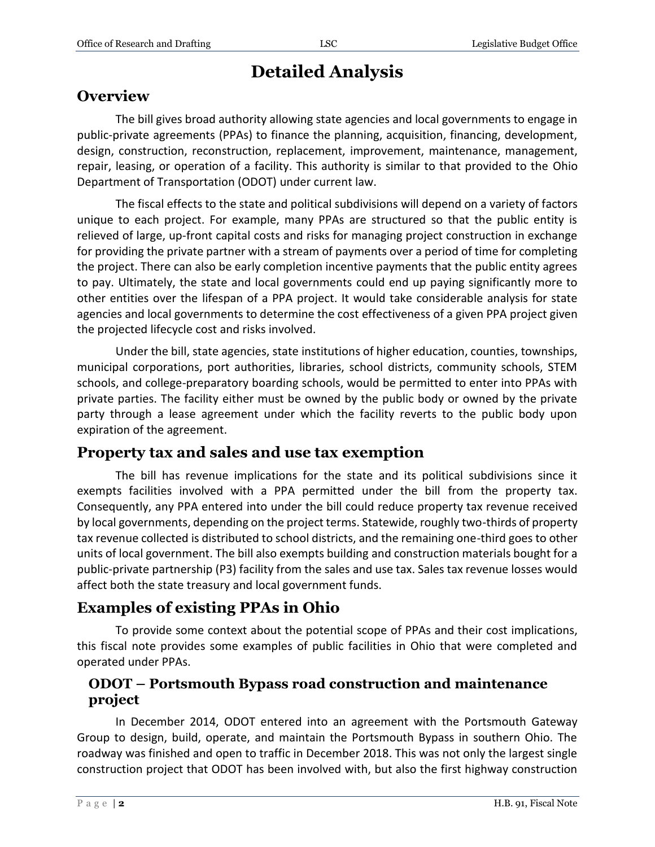## **Detailed Analysis**

#### **Overview**

The bill gives broad authority allowing state agencies and local governments to engage in public-private agreements (PPAs) to finance the planning, acquisition, financing, development, design, construction, reconstruction, replacement, improvement, maintenance, management, repair, leasing, or operation of a facility. This authority is similar to that provided to the Ohio Department of Transportation (ODOT) under current law.

The fiscal effects to the state and political subdivisions will depend on a variety of factors unique to each project. For example, many PPAs are structured so that the public entity is relieved of large, up-front capital costs and risks for managing project construction in exchange for providing the private partner with a stream of payments over a period of time for completing the project. There can also be early completion incentive payments that the public entity agrees to pay. Ultimately, the state and local governments could end up paying significantly more to other entities over the lifespan of a PPA project. It would take considerable analysis for state agencies and local governments to determine the cost effectiveness of a given PPA project given the projected lifecycle cost and risks involved.

Under the bill, state agencies, state institutions of higher education, counties, townships, municipal corporations, port authorities, libraries, school districts, community schools, STEM schools, and college-preparatory boarding schools, would be permitted to enter into PPAs with private parties. The facility either must be owned by the public body or owned by the private party through a lease agreement under which the facility reverts to the public body upon expiration of the agreement.

#### **Property tax and sales and use tax exemption**

The bill has revenue implications for the state and its political subdivisions since it exempts facilities involved with a PPA permitted under the bill from the property tax. Consequently, any PPA entered into under the bill could reduce property tax revenue received by local governments, depending on the project terms. Statewide, roughly two-thirds of property tax revenue collected is distributed to school districts, and the remaining one-third goes to other units of local government. The bill also exempts building and construction materials bought for a public-private partnership (P3) facility from the sales and use tax. Sales tax revenue losses would affect both the state treasury and local government funds.

#### **Examples of existing PPAs in Ohio**

To provide some context about the potential scope of PPAs and their cost implications, this fiscal note provides some examples of public facilities in Ohio that were completed and operated under PPAs.

#### **ODOT – Portsmouth Bypass road construction and maintenance project**

In December 2014, ODOT entered into an agreement with the Portsmouth Gateway Group to design, build, operate, and maintain the Portsmouth Bypass in southern Ohio. The roadway was finished and open to traffic in December 2018. This was not only the largest single construction project that ODOT has been involved with, but also the first highway construction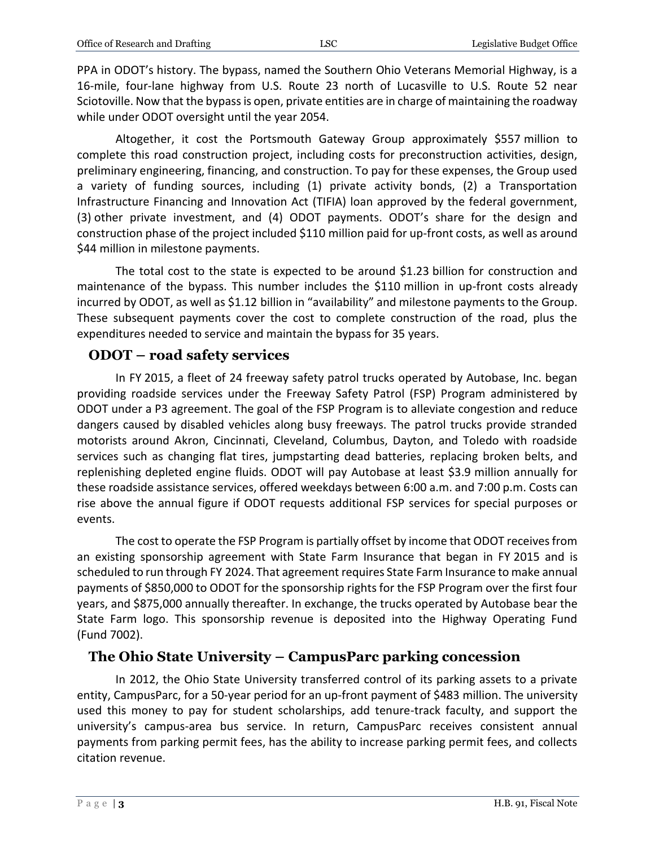PPA in ODOT's history. The bypass, named the Southern Ohio Veterans Memorial Highway, is a 16-mile, four-lane highway from U.S. Route 23 north of Lucasville to U.S. Route 52 near Sciotoville. Now that the bypass is open, private entities are in charge of maintaining the roadway while under ODOT oversight until the year 2054.

Altogether, it cost the Portsmouth Gateway Group approximately \$557 million to complete this road construction project, including costs for preconstruction activities, design, preliminary engineering, financing, and construction. To pay for these expenses, the Group used a variety of funding sources, including (1) private activity bonds, (2) a Transportation Infrastructure Financing and Innovation Act (TIFIA) loan approved by the federal government, (3) other private investment, and (4) ODOT payments. ODOT's share for the design and construction phase of the project included \$110 million paid for up-front costs, as well as around \$44 million in milestone payments.

The total cost to the state is expected to be around \$1.23 billion for construction and maintenance of the bypass. This number includes the \$110 million in up-front costs already incurred by ODOT, as well as \$1.12 billion in "availability" and milestone payments to the Group. These subsequent payments cover the cost to complete construction of the road, plus the expenditures needed to service and maintain the bypass for 35 years.

#### **ODOT – road safety services**

In FY 2015, a fleet of 24 freeway safety patrol trucks operated by Autobase, Inc. began providing roadside services under the Freeway Safety Patrol (FSP) Program administered by ODOT under a P3 agreement. The goal of the FSP Program is to alleviate congestion and reduce dangers caused by disabled vehicles along busy freeways. The patrol trucks provide stranded motorists around Akron, Cincinnati, Cleveland, Columbus, Dayton, and Toledo with roadside services such as changing flat tires, jumpstarting dead batteries, replacing broken belts, and replenishing depleted engine fluids. ODOT will pay Autobase at least \$3.9 million annually for these roadside assistance services, offered weekdays between 6:00 a.m. and 7:00 p.m. Costs can rise above the annual figure if ODOT requests additional FSP services for special purposes or events.

The cost to operate the FSP Program is partially offset by income that ODOT receives from an existing sponsorship agreement with State Farm Insurance that began in FY 2015 and is scheduled to run through FY 2024. That agreement requires State Farm Insurance to make annual payments of \$850,000 to ODOT for the sponsorship rights for the FSP Program over the first four years, and \$875,000 annually thereafter. In exchange, the trucks operated by Autobase bear the State Farm logo. This sponsorship revenue is deposited into the Highway Operating Fund (Fund 7002).

#### **The Ohio State University – CampusParc parking concession**

In 2012, the Ohio State University transferred control of its parking assets to a private entity, CampusParc, for a 50-year period for an up-front payment of \$483 million. The university used this money to pay for student scholarships, add tenure-track faculty, and support the university's campus-area bus service. In return, CampusParc receives consistent annual payments from parking permit fees, has the ability to increase parking permit fees, and collects citation revenue.